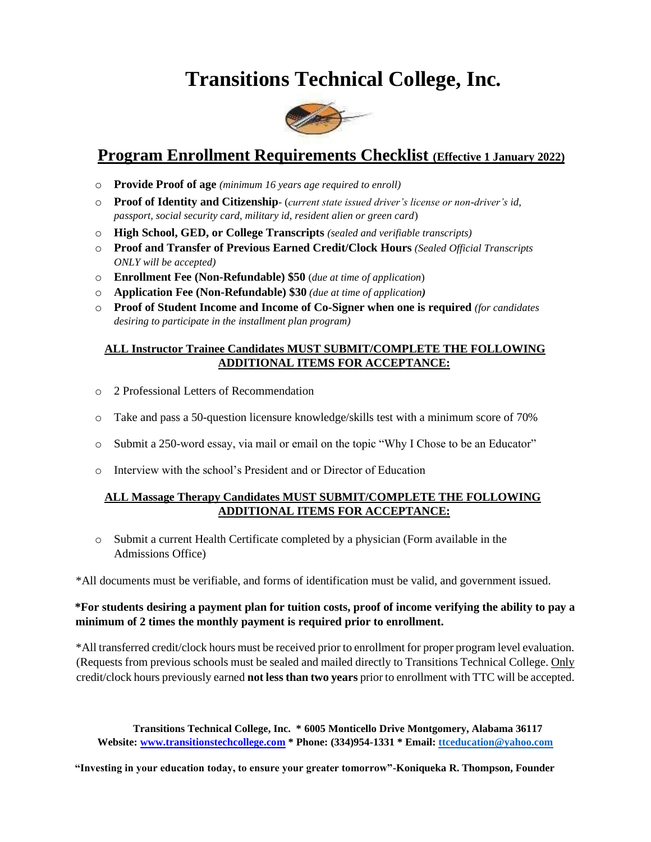# **Transitions Technical College, Inc.**



## **Program Enrollment Requirements Checklist (Effective 1 January 2022)**

- o **Provide Proof of age** *(minimum 16 years age required to enroll)*
- o **Proof of Identity and Citizenship** (*current state issued driver's license or non-driver's id, passport, social security card, military id, resident alien or green card*)
- o **High School, GED, or College Transcripts** *(sealed and verifiable transcripts)*
- o **Proof and Transfer of Previous Earned Credit/Clock Hours** *(Sealed Official Transcripts ONLY will be accepted)*
- o **Enrollment Fee (Non-Refundable) \$50** (*due at time of application*)
- o **Application Fee (Non-Refundable) \$30** *(due at time of application)*
- o **Proof of Student Income and Income of Co-Signer when one is required** *(for candidates desiring to participate in the installment plan program)*

### **ALL Instructor Trainee Candidates MUST SUBMIT/COMPLETE THE FOLLOWING ADDITIONAL ITEMS FOR ACCEPTANCE:**

- o 2 Professional Letters of Recommendation
- o Take and pass a 50-question licensure knowledge/skills test with a minimum score of 70%
- o Submit a 250-word essay, via mail or email on the topic "Why I Chose to be an Educator"
- o Interview with the school's President and or Director of Education

#### **ALL Massage Therapy Candidates MUST SUBMIT/COMPLETE THE FOLLOWING ADDITIONAL ITEMS FOR ACCEPTANCE:**

o Submit a current Health Certificate completed by a physician (Form available in the Admissions Office)

\*All documents must be verifiable, and forms of identification must be valid, and government issued.

### **\*For students desiring a payment plan for tuition costs, proof of income verifying the ability to pay a minimum of 2 times the monthly payment is required prior to enrollment.**

\*All transferred credit/clock hours must be received prior to enrollment for proper program level evaluation. (Requests from previous schools must be sealed and mailed directly to Transitions Technical College. Only credit/clock hours previously earned **not less than two years** prior to enrollment with TTC will be accepted.

**Transitions Technical College, Inc. \* 6005 Monticello Drive Montgomery, Alabama 36117 Website: [www.transitionstechcollege.com](http://www.transitionstechcollege.com/) [\\*](http://www.transitionstechcollege.com/) Phone: (334)954-1331 \* Email[: ttceducation@yahoo.com](mailto:ttceducation@yahoo.com)**

**"Investing in your education today, to ensure your greater tomorrow"-Koniqueka R. Thompson, Founder**